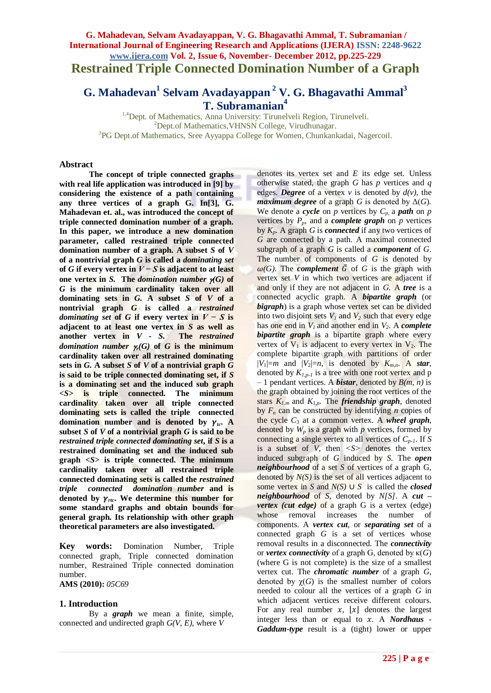# **G. Mahadevan, Selvam Avadayappan, V. G. Bhagavathi Ammal, T. Subramanian / International Journal of Engineering Research and Applications (IJERA) ISSN: 2248-9622 www.ijera.com Vol. 2, Issue 6, November- December 2012, pp.225-229 Restrained Triple Connected Domination Number of a Graph**

**G. Mahadevan<sup>1</sup> Selvam Avadayappan <sup>2</sup> V. G. Bhagavathi Ammal<sup>3</sup> T. Subramanian<sup>4</sup>**

<sup>1,4</sup>Dept. of Mathematics, Anna University: Tirunelveli Region, Tirunelveli. <sup>2</sup>Dept.of Mathematics, VHNSN College, Virudhunagar. <sup>3</sup>PG Dept.of Mathematics, Sree Ayyappa College for Women, Chunkankadai, Nagercoil.

### **Abstract**

**The concept of triple connected graphs with real life application was introduced in [9] by considering the existence of a path containing any three vertices of a graph G. In[3], G. Mahadevan et. al., was introduced the concept of triple connected domination number of a graph. In this paper, we introduce a new domination parameter, called restrained triple connected domination number of a graph. A subset** *S* **of** *V* **of a nontrivial graph** *G* **is called a** *dominating set* **of** *G* **if every vertex in**  $V − S$  **is adjacent to at least one vertex in** *S***. The** *domination number* $\gamma(G)$  **of** *G* **is the minimum cardinality taken over all dominating sets in** *G.* **A subset** *S* **of** *V* **of a nontrivial graph** *G* **is called a** *restrained dominating set* of *G* if every vertex in  $V - S$  is **adjacent to at least one vertex in** *S* **as well as another vertex in** *V - S.* **The** *restrained domination number*  $\gamma_f(G)$  of  $G$  is the minimum **cardinality taken over all restrained dominating**  sets in  $G$ . A subset  $S$  of  $V$  of a nontrivial graph  $G$ **is said to be triple connected dominating set, if** *S* **is a dominating set and the induced sub graph**  *<S>* **is triple connected. The minimum cardinality taken over all triple connected dominating sets is called the triple connected domination** number and is denoted by  $\gamma_{tc}$ . **subset** *S* **of** *V* **of a nontrivial graph** *G* **is said to be**  *restrained triple connected dominating set***, if** *S* **is a restrained dominating set and the induced sub graph** *<S>* **is triple connected. The minimum cardinality taken over all restrained triple connected dominating sets is called the** *restrained triple connected domination number* **and is**  denoted by  $\gamma$ <sub>rtc</sub>. We determine this number for **some standard graphs and obtain bounds for general graph. Its relationship with other graph theoretical parameters are also investigated.**

**Key words:** Domination Number, Triple connected graph, Triple connected domination number, Restrained Triple connected domination number.

**AMS (2010):** *05C69*

### **1. Introduction**

By a *graph* we mean a finite, simple, connected and undirected graph *G(V, E),* where *V* 

denotes its vertex set and *E* its edge set*.* Unless otherwise stated, the graph *G* has *p* vertices and *q* edges. *Degree* of a vertex  $v$  is denoted by  $d(v)$ , the *maximum degree* of a graph *G* is denoted by  $\Delta(G)$ *.* We denote a *cycle* on *p* vertices by  $C_p$ , a *path* on *p* vertices by  $P_p$ , and a *complete graph* on *p* vertices by  $K_p$ . A graph *G* is *connected* if any two vertices of *G* are connected by a path. A maximal connected subgraph of a graph *G* is called a *component* of *G*. The number of components of *G* is denoted by  $\omega(G)$ . The *complement*  $\overline{G}$  of *G* is the graph with vertex set *V* in which two vertices are adjacent if and only if they are not adjacent in *G.* A *tree* is a connected acyclic graph. A *bipartite graph* (or *bigraph*) is a graph whose vertex set can be divided into two disjoint sets  $V_1$  and  $V_2$  such that every edge has one end in  $V_1$  and another end in  $V_2$ . A *complete bipartite graph* is a bipartite graph where every vertex of  $V_1$  is adjacent to every vertex in  $V_2$ . The complete bipartite graph with partitions of order  $|V_1|=m$  and  $|V_2|=n$ , is denoted by  $K_{m,n}$ . A *star*, denoted by  $K_{1,p-1}$  is a tree with one root vertex and p – 1 pendant vertices. A *bistar*, denoted by *B(m, n)* is the graph obtained by joining the root vertices of the stars  $K_{1,m}$  and  $K_{1,n}$ . The *friendship graph*, denoted by  $F_n$  can be constructed by identifying *n* copies of the cycle  $C_3$  at a common vertex. A *wheel graph*, denoted by  $W_p$  is a graph with  $p$  vertices, formed by connecting a single vertex to all vertices of *Cp-1*. If *S* is a subset of  $V$ , then  $\langle S \rangle$  denotes the vertex induced subgraph of *G* induced by *S.* The *open neighbourhood* of a set *S* of vertices of a graph G, denoted by  $N(S)$  is the set of all vertices adjacent to some vertex in *S* and *N(S)* ∪ *S* is called the *closed neighbourhood* of *S*, denoted by *N[S]*. A *cut – vertex (cut edge)* of a graph G is a vertex (edge) whose removal increases the number of components. A *vertex cut*, or *separating set* of a connected graph *G* is a set of vertices whose removal results in a disconnected. The *connectivity* or *vertex connectivity* of a graph G, denoted by κ(*G*) (where G is not complete) is the size of a smallest vertex cut. The *chromatic number* of a graph *G*, denoted by  $\chi(G)$  is the smallest number of colors needed to colour all the vertices of a graph *G* in which adjacent vertices receive different colours. For any real number  $x$ ,  $\lfloor x \rfloor$  denotes the largest integer less than or equal to  $x$ . A *Nordhaus Gaddum-type* result is a (tight) lower or upper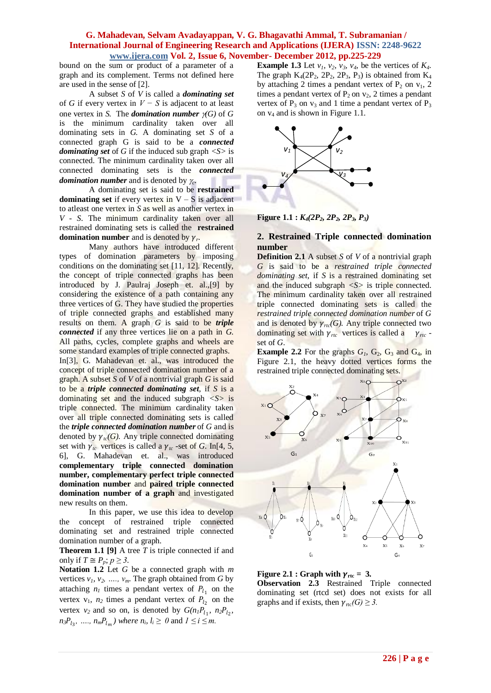bound on the sum or product of a parameter of a graph and its complement. Terms not defined here are used in the sense of [2].

A subset *S* of *V* is called a *dominating set* of *G* if every vertex in *V − S* is adjacent to at least one vertex in *S*. The *domination number*  $\gamma(G)$  of *G* is the minimum cardinality taken over all dominating sets in *G.* A dominating set *S* of a connected graph G is said to be a *connected dominating set* of *G* if the induced sub graph *<S>* is connected. The minimum cardinality taken over all connected dominating sets is the *connected domination number* and is denoted by *<sup>c</sup> .* 

A dominating set is said to be **restrained dominating set** if every vertex in  $V - S$  is adjacent to atleast one vertex in *S* as well as another vertex in *V - S*. The minimum cardinality taken over all restrained dominating sets is called the **restrained domination number** and is denoted by  $\gamma_r$ .

Many authors have introduced different types of domination parameters by imposing conditions on the dominating set [11, 12]. Recently, the concept of triple connected graphs has been introduced by J. Paulraj Joseph et. al.,[9] by considering the existence of a path containing any three vertices of G. They have studied the properties of triple connected graphs and established many results on them. A graph *G* is said to be *triple connected* if any three vertices lie on a path in *G.*  All paths, cycles, complete graphs and wheels are some standard examples of triple connected graphs.

In[3], G. Mahadevan et. al., was introduced the concept of triple connected domination number of a graph. A subset *S* of *V* of a nontrivial graph *G* is said to be a *triple connected dominating set,* if *S* is a dominating set and the induced subgraph *<S>* is triple connected. The minimum cardinality taken over all triple connected dominating sets is called the *triple connected domination number* of *G* and is denoted by  $\gamma_{tc}(G)$ . Any triple connected dominating set with  $\gamma_{tc}$  vertices is called a  $\gamma_{tc}$ -set of *G*. In[4, 5, 6], G. Mahadevan et. al., was introduced **complementary triple connected domination number, complementary perfect triple connected domination number** and **paired triple connected domination number of a graph** and investigated new results on them.

In this paper, we use this idea to develop the concept of restrained triple connected dominating set and restrained triple connected domination number of a graph.

**Theorem 1.1 [9]** A tree *T* is triple connected if and only if  $T \cong P_p$ ;  $p \geq 3$ .

**Notation 1.2** Let *G* be a connected graph with *m* vertices  $v_1$ ,  $v_2$ , ...,  $v_m$ . The graph obtained from *G* by attaching  $n_l$  times a pendant vertex of  $P_{l_1}$  on the vertex  $v_1$ ,  $n_2$  times a pendant vertex of  $P_{l_2}$  on the vertex  $v_2$  and so on, is denoted by  $G(n_1P_{l_1}, n_2P_{l_2},$ *n*<sub>3</sub> $P_{l_3}$ , …,  $n_m P_{l_m}$ ) where  $n_i$ ,  $l_i \ge 0$  and  $1 \le i \le m$ .

**Example 1.3** Let  $v_1$ ,  $v_2$ ,  $v_3$ ,  $v_4$ , be the vertices of  $K_4$ . The graph  $K_4(2P_2, 2P_2, 2P_3, P_3)$  is obtained from  $K_4$ by attaching 2 times a pendant vertex of  $P_2$  on  $v_1$ , 2 times a pendant vertex of  $P_2$  on  $v_2$ , 2 times a pendant vertex of  $P_3$  on  $v_3$  and 1 time a pendant vertex of  $P_3$ on v<sup>4</sup> and is shown in Figure 1.1.



**Figure 1.1 :** *K4(2P2, 2P2, 2P3, P3)*

# **2. Restrained Triple connected domination number**

**Definition 2.1** A subset *S* of *V* of a nontrivial graph *G* is said to be a *restrained triple connected dominating set,* if *S* is a restrained dominating set and the induced subgraph *<S>* is triple connected. The minimum cardinality taken over all restrained triple connected dominating sets is called the *restrained triple connected domination number* of *G* and is denoted by  $\gamma_{rcc}(G)$ . Any triple connected two dominating set with  $\gamma_{rtc}$  vertices is called a  $\gamma_{rtc}$  set of *G*.

**Example 2.2** For the graphs  $G_1$ ,  $G_2$ ,  $G_3$  and  $G_4$ , in Figure 2.1, the heavy dotted vertices forms the restrained triple connected dominating sets.



**Figure 2.1 : Graph with**  $\gamma_{\text{rtc}} = 3$ **. Observation 2.3** Restrained Triple connected dominating set (rtcd set) does not exists for all graphs and if exists, then  $\gamma_{\text{rtc}}(G) \geq 3$ .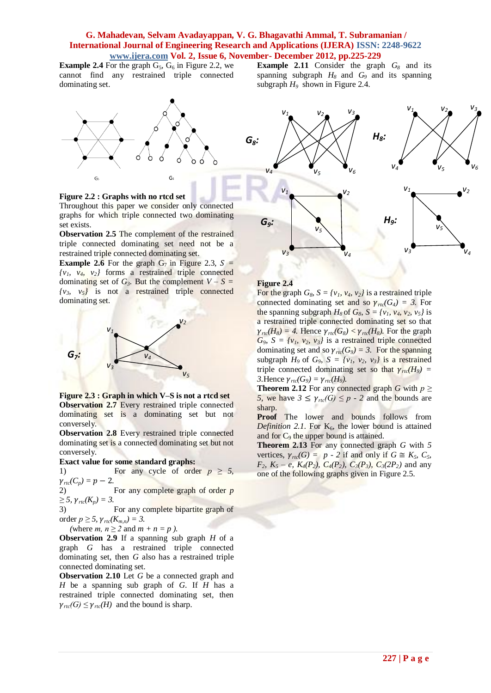**Example 2.4** For the graph  $G_5$ ,  $G_6$  in Figure 2.2, we cannot find any restrained triple connected dominating set.



**Figure 2.2 : Graphs with no rtcd set**

Throughout this paper we consider only connected graphs for which triple connected two dominating set exists.

**Observation 2.5** The complement of the restrained triple connected dominating set need not be a restrained triple connected dominating set.

**Example 2.6** For the graph  $G_7$  in Figure 2.3,  $S =$  $\{v_1, v_4, v_2\}$  forms a restrained triple connected dominating set of  $G_3$ . But the complement  $V - S =$  $\{v_3, v_5\}$  is not a restrained triple connected dominating set.



**Figure 2.3 : Graph in which V–S is not a rtcd set Observation 2.7** Every restrained triple connected dominating set is a dominating set but not conversely.

**Observation 2.8** Every restrained triple connected dominating set is a connected dominating set but not conversely.

#### **Exact value for some standard graphs:**

1) For any cycle of order  $p \geq 5$ ,  $\gamma_{\text{rtc}}(C_p) = p - 2.$ 

2) For any complete graph of order *p*   $≥$  *5,*  $γ$ <sub>*rtc</sub>*( $K_p$ ) = 3.</sub>

3) For any complete bipartite graph of order  $p \geq 5$ ,  $\gamma_{rtc}(K_{m,n}) = 3$ .

(where *m, n*  $\geq$  2 and *m* + *n* = *p* ).

**Observation 2.9** If a spanning sub graph *H* of a graph *G* has a restrained triple connected dominating set, then *G* also has a restrained triple connected dominating set.

**Observation 2.10** Let *G* be a connected graph and *H* be a spanning sub graph of *G*. If *H* has a restrained triple connected dominating set, then  $\gamma_{rtc}(G) \leq \gamma_{rtc}(H)$  and the bound is sharp.

**Example 2.11** Consider the graph *G<sup>8</sup>* and its spanning subgraph  $H_8$  and  $G_9$  and its spanning subgraph *H<sup>9</sup>* shown in Figure 2.4.



#### **Figure 2.4**

For the graph  $G_8$ ,  $S = \{v_1, v_4, v_2\}$  is a restrained triple connected dominating set and so  $\gamma_{rcc}(G_4) = 3$ . For the spanning subgraph  $H_8$  of  $G_8$ ,  $S = \{v_1, v_4, v_2, v_5\}$  is a restrained triple connected dominating set so that  $\gamma_{rtc}(H_8) = 4$ . Hence  $\gamma_{rtc}(G_8) < \gamma_{rtc}(H_8)$ . For the graph  $G_9$ ,  $S = \{v_1, v_2, v_3\}$  is a restrained triple connected dominating set and so  $\gamma_{rtc}(G_9) = 3$ . For the spanning subgraph  $H_9$  of  $G_9$ ,  $S = \{v_1, v_2, v_3\}$  is a restrained triple connected dominating set so that  $\gamma_{rcc}(H_9)$  = *3.* Hence  $\gamma_{rtc}(G_9) = \gamma_{rtc}(H_9)$ .

**Theorem 2.12** For any connected graph *G* with  $p \geq$ *5,* we have  $3 \leq \gamma_{\text{rtc}}(G) \leq p - 2$  and the bounds are sharp.

**Proof** The lower and bounds follows from *Definition 2.1.* For  $K_6$ , the lower bound is attained and for  $C_9$  the upper bound is attained.

**Theorem 2.13** For any connected graph *G* with *5* vertices,  $\gamma_{\text{rtc}}(G) = p - 2$  if and only if  $G \cong K_5$ ,  $C_5$ , *F*<sub>2</sub>*, K*<sub>2</sub> *– e, K*<sub>4</sub>(*P*<sub>2</sub>*), C*<sub>4</sub>(*P*<sub>2</sub>*), C*<sub>3</sub>(*P*<sub>3</sub>*), C*<sub>3</sub>(2*P*<sub>2</sub>*)* and any one of the following graphs given in Figure 2.5.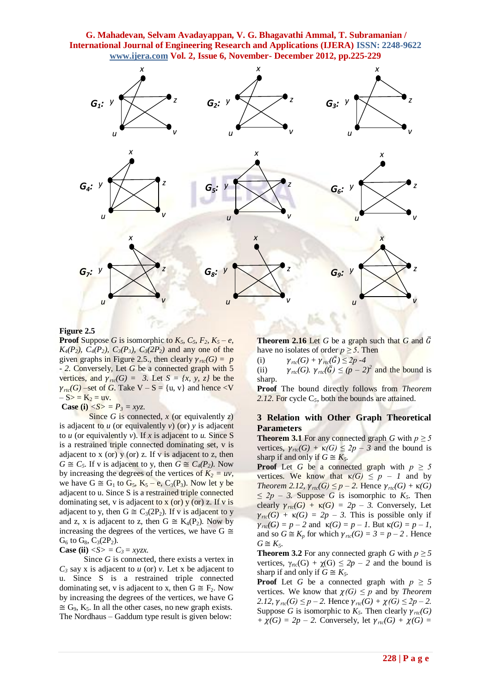

#### **Figure 2.5**

**Proof** Suppose *G* is isomorphic to  $K_5$ ,  $C_5$ ,  $F_2$ ,  $K_5 - e$ , *K*<sub>4</sub> $(P_2)$ ,  $C_4(P_2)$ ,  $C_3(P_3)$ ,  $C_3(2P_2)$  and any one of the given graphs in Figure 2.5., then clearly  $\gamma_{rcc}(G) = p$ *- 2.* Conversely, Let *G* be a connected graph with 5 vertices, and  $\gamma_{rtc}(G) = 3$ . Let  $S = \{x, y, z\}$  be the  $\gamma_{\text{rtc}}(G)$  –set of *G*. Take V – S = {u, v} and hence <V  $-S>$  =  $K_2$  = uv.

**Case (i)**  $\langle S \rangle = P_3 = xyz$ .

Since *G* is connected, *x* (or equivalently *z*) is adjacent to *u* (or equivalently *v*) (or) *y* is adjacent to *u* (or equivalently *v*). If *x* is adjacent to *u*. Since S is a restrained triple connected dominating set, v is adjacent to x (or)  $y$  (or) z. If v is adjacent to z, then  $G \cong C_5$ . If v is adjacent to y, then  $G \cong C_4(P_2)$ . Now by increasing the degrees of the vertices of  $K_2 = uv$ , we have  $G \cong G_1$  to  $G_5$ ,  $K_5 - e$ ,  $C_3(P_3)$ . Now let y be adjacent to u. Since S is a restrained triple connected dominating set, v is adjacent to x (or) y (or) z. If v is adjacent to y, then  $G \cong C_3(2P_2)$ . If v is adjacent to y and z, x is adjacent to z, then  $G \cong K_4(P_2)$ . Now by increasing the degrees of the vertices, we have  $G \cong$  $G_6$  to  $G_8$ ,  $C_3(2P_2)$ .

#### **Case (ii)**  $\langle S \rangle = C_3 = xyzx$ .

 Since *G* is connected, there exists a vertex in  $C_3$  say x is adjacent to *u* (or) *v*. Let x be adjacent to u. Since S is a restrained triple connected dominating set, v is adjacent to x, then  $G \cong F_2$ . Now by increasing the degrees of the vertices, we have G  $\cong$  G<sub>9</sub>, K<sub>5</sub>. In all the other cases, no new graph exists. The Nordhaus – Gaddum type result is given below:

**Theorem 2.16** Let *G* be a graph such that *G* and  $\overline{G}$ have no isolates of order  $p \geq 5$ . Then

(i)  $\gamma_{rtc}(G) + \gamma_{rtc}(\bar{G}) \leq 2p - 4$ 

(ii)  $\gamma_{\text{rtc}}(G)$ .  $\gamma_{\text{rtc}}(\bar{G}) \le (p-2)^2$  and the bound is sharp.

**Proof** The bound directly follows from *Theorem 2.12*. For cycle C*5*, both the bounds are attained.

# **3 Relation with Other Graph Theoretical Parameters**

**Theorem 3.1** For any connected graph *G* with  $p \ge 5$ vertices,  $\gamma_{rtc}(G) + \kappa(G) \leq 2p - 3$  and the bound is sharp if and only if  $G \cong K_5$ .

**Proof** Let *G* be a connected graph with  $p \ge 5$ vertices. We know that  $\kappa(G) \leq p - 1$  and by *Theorem 2.12,*  $\gamma_{\text{rtc}}(G) \leq p - 2$ . Hence  $\gamma_{\text{rtc}}(G) + \kappa(G)$  $≤ 2p − 3$ *.* Suppose *G* is isomorphic to *K<sub>5</sub>*. Then clearly  $\gamma_{rtc}(G) + \kappa(G) = 2p - 3$ . Conversely, Let  $\gamma_{rtc}(G) + \kappa(G) = 2p - 3$ . This is possible only if  $\gamma_{rtc}(G) = p - 2$  and  $\kappa(G) = p - 1$ . But  $\kappa(G) = p - 1$ , and so  $G \cong K_p$  for which  $\gamma_{rtc}(G) = 3 = p - 2$ . Hence  $G \cong K_5$ .

**Theorem 3.2** For any connected graph *G* with  $p \ge 5$ vertices,  $\gamma_{\text{rtc}}(G) + \gamma(G) \leq 2p - 2$  and the bound is sharp if and only if  $G \cong K_5$ .

**Proof** Let *G* be a connected graph with  $p \ge 5$ vertices. We know that  $\chi(G) \leq p$  and by *Theorem 2.12,*  $\gamma_{\text{rtc}}(G) \leq p - 2$ . Hence  $\gamma_{\text{rtc}}(G) + \chi(G) \leq 2p - 2$ . Suppose *G* is isomorphic to  $K_5$ . Then clearly  $\gamma_{rtc}(G)$ *+*  $\chi(G) = 2p - 2$ . Conversely, let  $\gamma_{rtc}(G) + \chi(G) =$